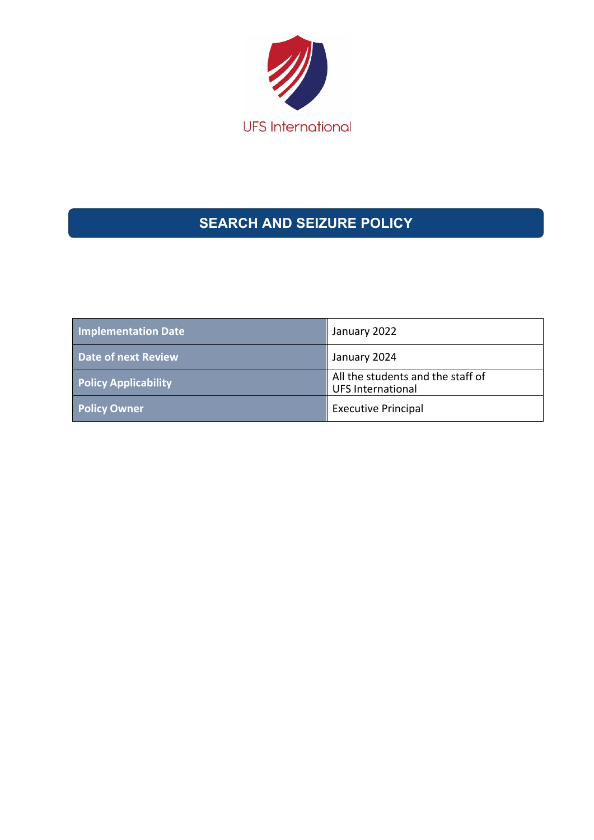

# **SEARCH AND SEIZURE POLICY**

| <b>Implementation Date</b>  | January 2022                                                  |
|-----------------------------|---------------------------------------------------------------|
| Date of next Review         | January 2024                                                  |
| <b>Policy Applicability</b> | All the students and the staff of<br><b>UFS International</b> |
| <b>Policy Owner</b>         | <b>Executive Principal</b>                                    |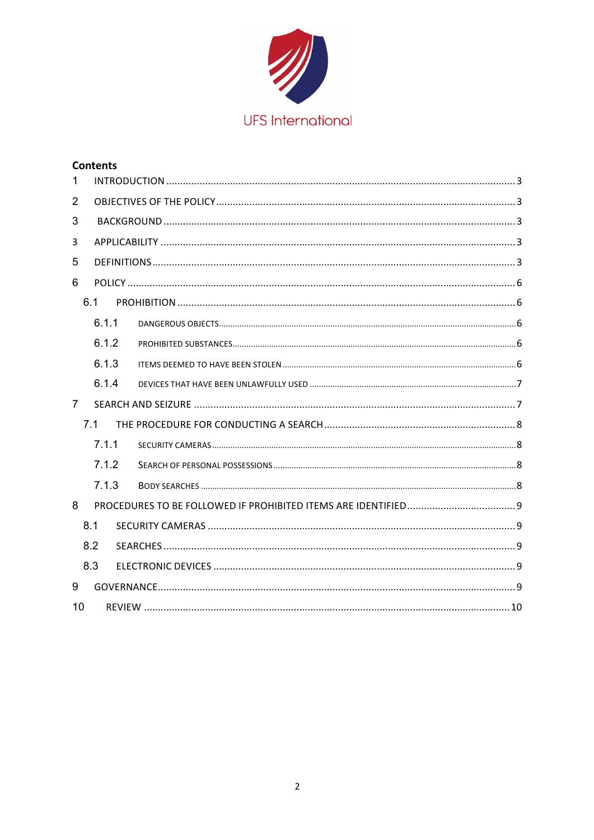

|                | <b>Contents</b> |  |  |  |  |
|----------------|-----------------|--|--|--|--|
| 1              |                 |  |  |  |  |
| $\overline{2}$ |                 |  |  |  |  |
| 3              |                 |  |  |  |  |
| 3              |                 |  |  |  |  |
| 5              |                 |  |  |  |  |
| 6              |                 |  |  |  |  |
|                | 6.1             |  |  |  |  |
|                | 6.1.1           |  |  |  |  |
|                | 6.1.2           |  |  |  |  |
|                | 6.1.3           |  |  |  |  |
|                | 6.1.4           |  |  |  |  |
| $\overline{7}$ |                 |  |  |  |  |
|                | 7.1             |  |  |  |  |
|                | 7.1.1           |  |  |  |  |
|                | 7.1.2           |  |  |  |  |
|                | 7.1.3           |  |  |  |  |
| 8              |                 |  |  |  |  |
|                | 8.1             |  |  |  |  |
|                | 8.2             |  |  |  |  |
|                | 8.3             |  |  |  |  |
| 9              |                 |  |  |  |  |
| 10             |                 |  |  |  |  |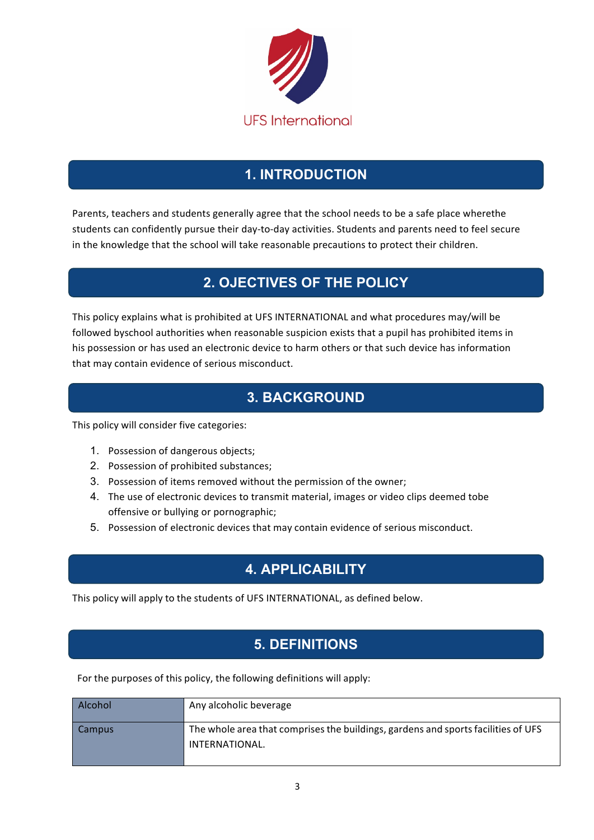

## **1. INTRODUCTION**

Parents, teachers and students generally agree that the school needs to be a safe place wherethe students can confidently pursue their day-to-day activities. Students and parents need to feel secure in the knowledge that the school will take reasonable precautions to protect their children.

## **2. OJECTIVES OF THE POLICY**

This policy explains what is prohibited at UFS INTERNATIONAL and what procedures may/will be followed byschool authorities when reasonable suspicion exists that a pupil has prohibited items in his possession or has used an electronic device to harm others or that such device has information that may contain evidence of serious misconduct.

## **3. BACKGROUND**

This policy will consider five categories:

- 1. Possession of dangerous objects;
- 2. Possession of prohibited substances;
- 3. Possession of items removed without the permission of the owner;
- 4. The use of electronic devices to transmit material, images or video clips deemed tobe offensive or bullying or pornographic;
- 5. Possession of electronic devices that may contain evidence of serious misconduct.

## **4. APPLICABILITY**

This policy will apply to the students of UFS INTERNATIONAL, as defined below.

# **5. DEFINITIONS**

For the purposes of this policy, the following definitions will apply:

| Alcohol | Any alcoholic beverage                                                                              |
|---------|-----------------------------------------------------------------------------------------------------|
| Campus  | The whole area that comprises the buildings, gardens and sports facilities of UFS<br>INTERNATIONAL. |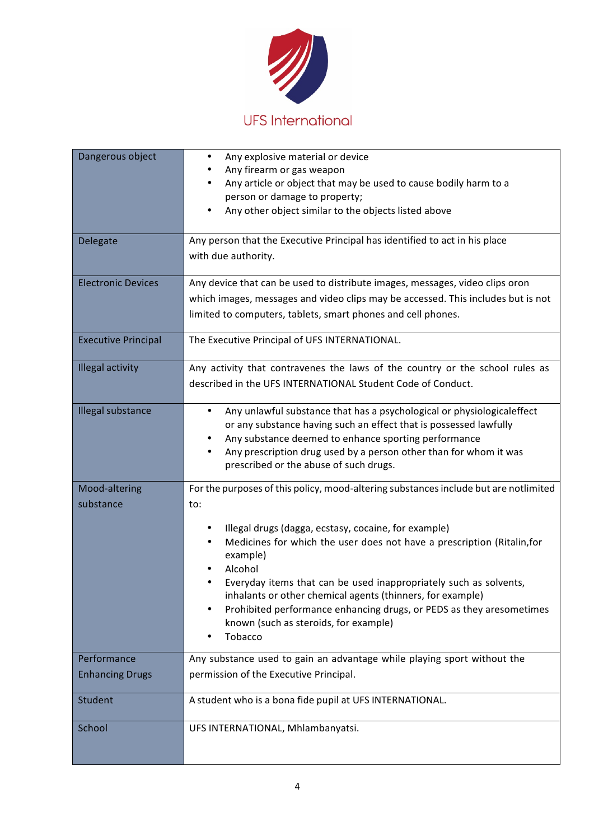

| Dangerous object           | Any explosive material or device<br>$\bullet$<br>Any firearm or gas weapon<br>Any article or object that may be used to cause bodily harm to a<br>person or damage to property;<br>Any other object similar to the objects listed above<br>$\bullet$                                                                                                                                                                               |
|----------------------------|------------------------------------------------------------------------------------------------------------------------------------------------------------------------------------------------------------------------------------------------------------------------------------------------------------------------------------------------------------------------------------------------------------------------------------|
| Delegate                   | Any person that the Executive Principal has identified to act in his place<br>with due authority.                                                                                                                                                                                                                                                                                                                                  |
| <b>Electronic Devices</b>  | Any device that can be used to distribute images, messages, video clips oron<br>which images, messages and video clips may be accessed. This includes but is not<br>limited to computers, tablets, smart phones and cell phones.                                                                                                                                                                                                   |
| <b>Executive Principal</b> | The Executive Principal of UFS INTERNATIONAL.                                                                                                                                                                                                                                                                                                                                                                                      |
| <b>Illegal activity</b>    | Any activity that contravenes the laws of the country or the school rules as<br>described in the UFS INTERNATIONAL Student Code of Conduct.                                                                                                                                                                                                                                                                                        |
| Illegal substance          | Any unlawful substance that has a psychological or physiologicaleffect<br>$\bullet$<br>or any substance having such an effect that is possessed lawfully<br>Any substance deemed to enhance sporting performance<br>$\bullet$<br>Any prescription drug used by a person other than for whom it was<br>$\bullet$<br>prescribed or the abuse of such drugs.                                                                          |
| Mood-altering<br>substance | For the purposes of this policy, mood-altering substances include but are notlimited<br>to:                                                                                                                                                                                                                                                                                                                                        |
|                            | Illegal drugs (dagga, ecstasy, cocaine, for example)<br>Medicines for which the user does not have a prescription (Ritalin, for<br>example)<br>Alcohol<br>Everyday items that can be used inappropriately such as solvents,<br>inhalants or other chemical agents (thinners, for example)<br>Prohibited performance enhancing drugs, or PEDS as they aresometimes<br>known (such as steroids, for example)<br>Tobacco<br>$\bullet$ |
| Performance                | Any substance used to gain an advantage while playing sport without the                                                                                                                                                                                                                                                                                                                                                            |
| <b>Enhancing Drugs</b>     | permission of the Executive Principal.                                                                                                                                                                                                                                                                                                                                                                                             |
| Student                    | A student who is a bona fide pupil at UFS INTERNATIONAL.                                                                                                                                                                                                                                                                                                                                                                           |
| School                     | UFS INTERNATIONAL, Mhlambanyatsi.                                                                                                                                                                                                                                                                                                                                                                                                  |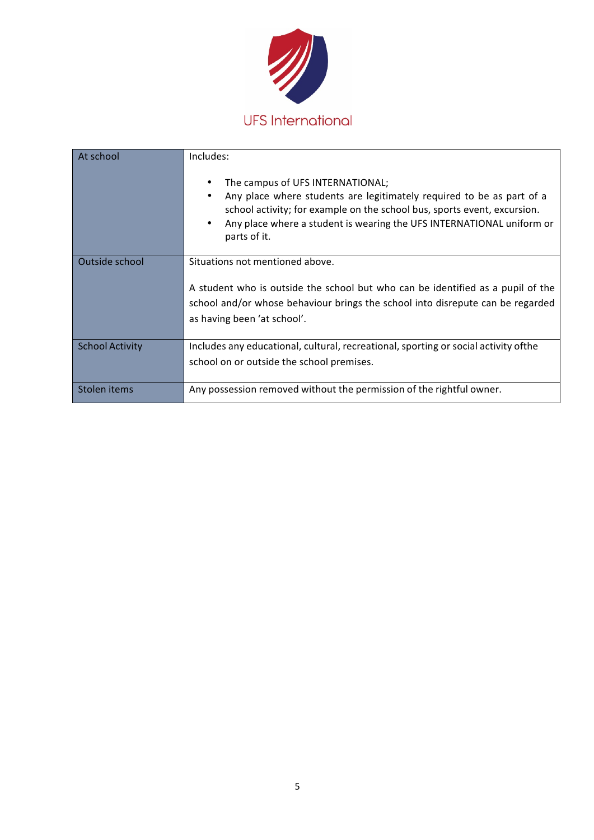

| At school              | Includes:                                                                                                                                                                                                                                                                                        |  |
|------------------------|--------------------------------------------------------------------------------------------------------------------------------------------------------------------------------------------------------------------------------------------------------------------------------------------------|--|
|                        | The campus of UFS INTERNATIONAL;<br>Any place where students are legitimately required to be as part of a<br>٠<br>school activity; for example on the school bus, sports event, excursion.<br>Any place where a student is wearing the UFS INTERNATIONAL uniform or<br>$\bullet$<br>parts of it. |  |
| Outside school         | Situations not mentioned above.                                                                                                                                                                                                                                                                  |  |
|                        | A student who is outside the school but who can be identified as a pupil of the                                                                                                                                                                                                                  |  |
|                        | school and/or whose behaviour brings the school into disrepute can be regarded<br>as having been 'at school'.                                                                                                                                                                                    |  |
| <b>School Activity</b> | Includes any educational, cultural, recreational, sporting or social activity of the                                                                                                                                                                                                             |  |
|                        | school on or outside the school premises.                                                                                                                                                                                                                                                        |  |
| Stolen items           | Any possession removed without the permission of the rightful owner.                                                                                                                                                                                                                             |  |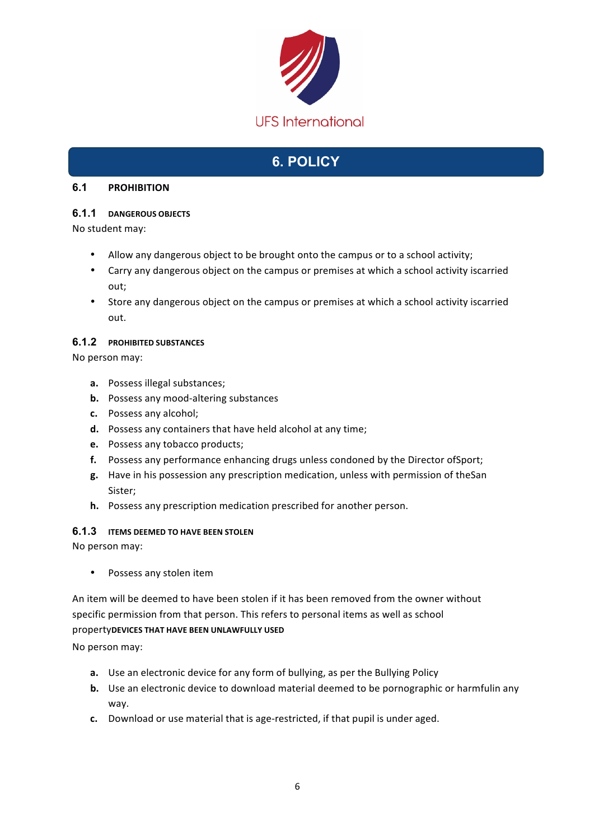

## **6. POLICY**

### **6.1 PROHIBITION**

## **6.1.1 DANGEROUS OBJECTS**

No student may:

- Allow any dangerous object to be brought onto the campus or to a school activity;
- Carry any dangerous object on the campus or premises at which a school activity iscarried out;
- Store any dangerous object on the campus or premises at which a school activity iscarried out.

### **6.1.2 PROHIBITED SUBSTANCES**

No person may:

- **a.** Possess illegal substances;
- **b.** Possess any mood-altering substances
- **c.** Possess any alcohol;
- **d.** Possess any containers that have held alcohol at any time;
- **e.** Possess any tobacco products;
- **f.** Possess any performance enhancing drugs unless condoned by the Director ofSport;
- **g.** Have in his possession any prescription medication, unless with permission of theSan Sister;
- **h.** Possess any prescription medication prescribed for another person.

## **6.1.3 ITEMS DEEMED TO HAVE BEEN STOLEN**

No person may:

• Possess any stolen item

An item will be deemed to have been stolen if it has been removed from the owner without specific permission from that person. This refers to personal items as well as school

### property**DEVICES THAT HAVE BEEN UNLAWFULLY USED**

No person may:

- **a.** Use an electronic device for any form of bullying, as per the Bullying Policy
- **b.** Use an electronic device to download material deemed to be pornographic or harmfulin any way.
- **c.** Download or use material that is age-restricted, if that pupil is under aged.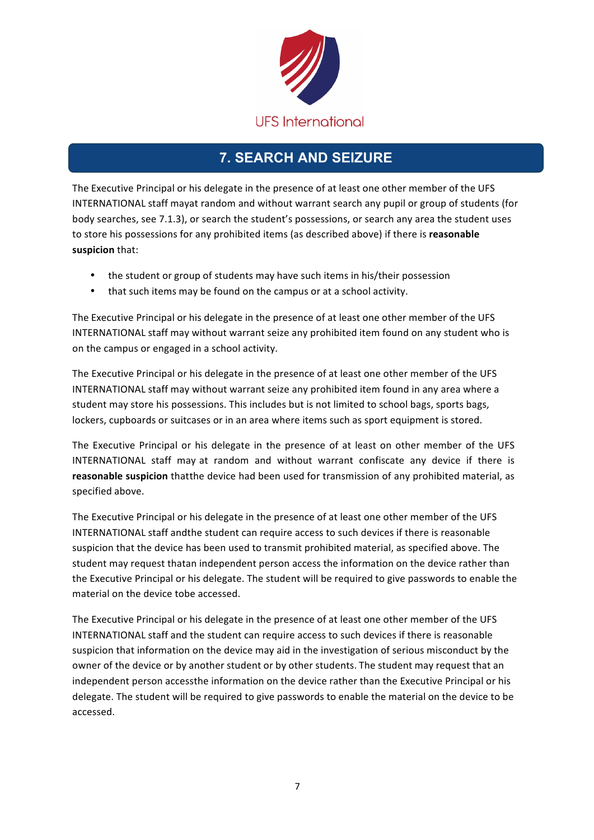

## **7. SEARCH AND SEIZURE**

The Executive Principal or his delegate in the presence of at least one other member of the UFS INTERNATIONAL staff mayat random and without warrant search any pupil or group of students (for body searches, see 7.1.3), or search the student's possessions, or search any area the student uses to store his possessions for any prohibited items (as described above) if there is **reasonable suspicion** that:

- the student or group of students may have such items in his/their possession
- that such items may be found on the campus or at a school activity.

The Executive Principal or his delegate in the presence of at least one other member of the UFS INTERNATIONAL staff may without warrant seize any prohibited item found on any student who is on the campus or engaged in a school activity.

The Executive Principal or his delegate in the presence of at least one other member of the UFS INTERNATIONAL staff may without warrant seize any prohibited item found in any area where a student may store his possessions. This includes but is not limited to school bags, sports bags, lockers, cupboards or suitcases or in an area where items such as sport equipment is stored.

The Executive Principal or his delegate in the presence of at least on other member of the UFS INTERNATIONAL staff may at random and without warrant confiscate any device if there is **reasonable suspicion** thatthe device had been used for transmission of any prohibited material, as specified above.

The Executive Principal or his delegate in the presence of at least one other member of the UFS INTERNATIONAL staff andthe student can require access to such devices if there is reasonable suspicion that the device has been used to transmit prohibited material, as specified above. The student may request thatan independent person access the information on the device rather than the Executive Principal or his delegate. The student will be required to give passwords to enable the material on the device tobe accessed.

The Executive Principal or his delegate in the presence of at least one other member of the UFS INTERNATIONAL staff and the student can require access to such devices if there is reasonable suspicion that information on the device may aid in the investigation of serious misconduct by the owner of the device or by another student or by other students. The student may request that an independent person accessthe information on the device rather than the Executive Principal or his delegate. The student will be required to give passwords to enable the material on the device to be accessed.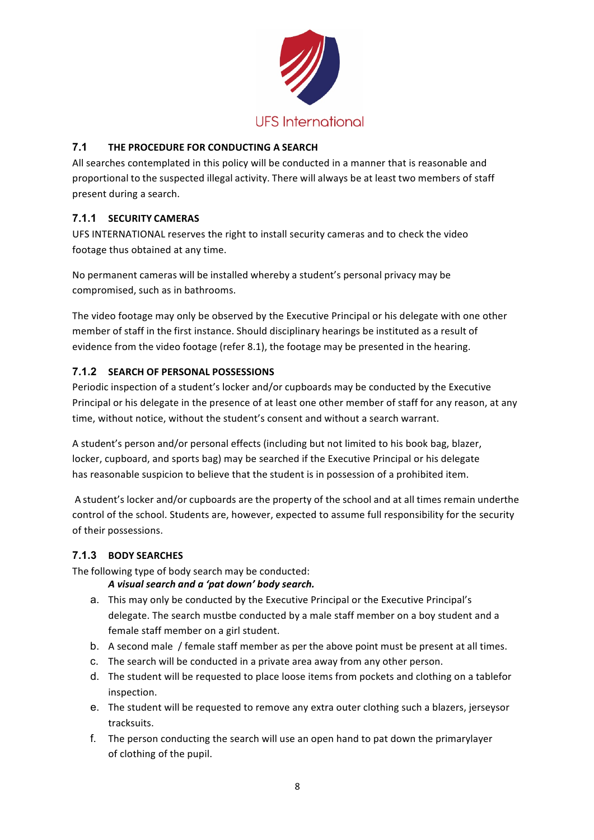

## **7.1 THE PROCEDURE FOR CONDUCTING A SEARCH**

All searches contemplated in this policy will be conducted in a manner that is reasonable and proportional to the suspected illegal activity. There will always be at least two members of staff present during a search.

## **7.1.1 SECURITY CAMERAS**

UFS INTERNATIONAL reserves the right to install security cameras and to check the video footage thus obtained at any time.

No permanent cameras will be installed whereby a student's personal privacy may be compromised, such as in bathrooms.

The video footage may only be observed by the Executive Principal or his delegate with one other member of staff in the first instance. Should disciplinary hearings be instituted as a result of evidence from the video footage (refer 8.1), the footage may be presented in the hearing.

### **7.1.2 SEARCH OF PERSONAL POSSESSIONS**

Periodic inspection of a student's locker and/or cupboards may be conducted by the Executive Principal or his delegate in the presence of at least one other member of staff for any reason, at any time, without notice, without the student's consent and without a search warrant.

A student's person and/or personal effects (including but not limited to his book bag, blazer, locker, cupboard, and sports bag) may be searched if the Executive Principal or his delegate has reasonable suspicion to believe that the student is in possession of a prohibited item.

A student's locker and/or cupboards are the property of the school and at all times remain underthe control of the school. Students are, however, expected to assume full responsibility for the security of their possessions.

### **7.1.3 BODY SEARCHES**

The following type of body search may be conducted:

### *A visual search and a 'pat down' body search.*

- a. This may only be conducted by the Executive Principal or the Executive Principal's delegate. The search mustbe conducted by a male staff member on a boy student and a female staff member on a girl student.
- b. A second male / female staff member as per the above point must be present at all times.
- c. The search will be conducted in a private area away from any other person.
- d. The student will be requested to place loose items from pockets and clothing on a tablefor inspection.
- e. The student will be requested to remove any extra outer clothing such a blazers, jerseysor tracksuits.
- f. The person conducting the search will use an open hand to pat down the primarylayer of clothing of the pupil.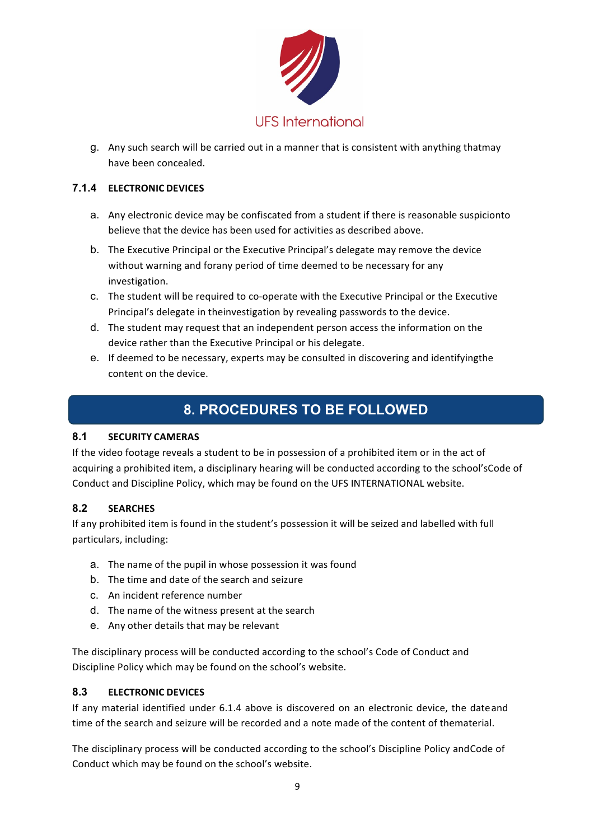

g. Any such search will be carried out in a manner that is consistent with anything thatmay have been concealed.

### **7.1.4 ELECTRONIC DEVICES**

- a. Any electronic device may be confiscated from a student if there is reasonable suspicionto believe that the device has been used for activities as described above.
- b. The Executive Principal or the Executive Principal's delegate may remove the device without warning and forany period of time deemed to be necessary for any investigation.
- c. The student will be required to co-operate with the Executive Principal or the Executive Principal's delegate in theinvestigation by revealing passwords to the device.
- d. The student may request that an independent person access the information on the device rather than the Executive Principal or his delegate.
- e. If deemed to be necessary, experts may be consulted in discovering and identifyingthe content on the device.

## **8. PROCEDURES TO BE FOLLOWED**

### **8.1 SECURITY CAMERAS**

If the video footage reveals a student to be in possession of a prohibited item or in the act of acquiring a prohibited item, a disciplinary hearing will be conducted according to the school'sCode of Conduct and Discipline Policy, which may be found on the UFS INTERNATIONAL website.

### **8.2 SEARCHES**

If any prohibited item is found in the student's possession it will be seized and labelled with full particulars, including:

- a. The name of the pupil in whose possession it was found
- b. The time and date of the search and seizure
- c. An incident reference number
- d. The name of the witness present at the search
- e. Any other details that may be relevant

The disciplinary process will be conducted according to the school's Code of Conduct and Discipline Policy which may be found on the school's website.

### **8.3 ELECTRONIC DEVICES**

If any material identified under 6.1.4 above is discovered on an electronic device, the dateand time of the search and seizure will be recorded and a note made of the content of thematerial.

The disciplinary process will be conducted according to the school's Discipline Policy andCode of Conduct which may be found on the school's website.